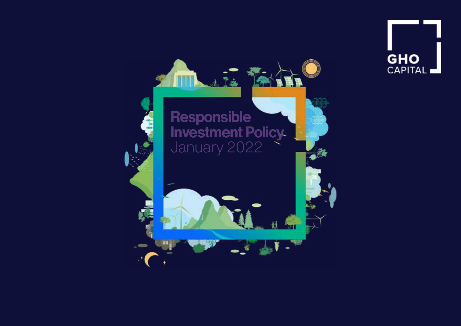

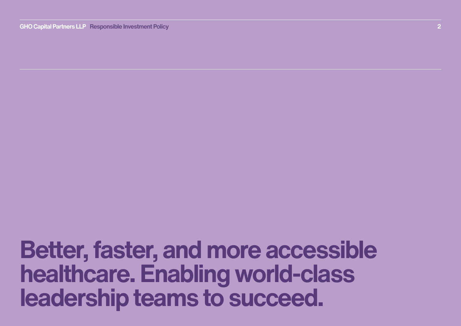**2 Box 2016 Capital Partners LLP Responsible Investment Policy And American Capital Capital GHO Capital GHO Capital GHOO** 

**Better, faster, and more accessible healthcare. Enabling world-class** leadership teams to succeed.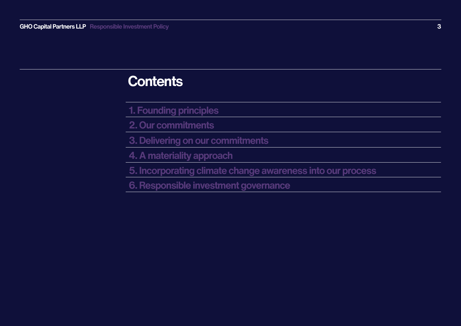# **Contents**

- **1. Founding principles**
- **2. Our commitments**
- **3. Delivering on our commitments**
- **4. A materiality approach**
- **5. Incorporating climate change awareness into our process**
- **6. Responsible investment governance**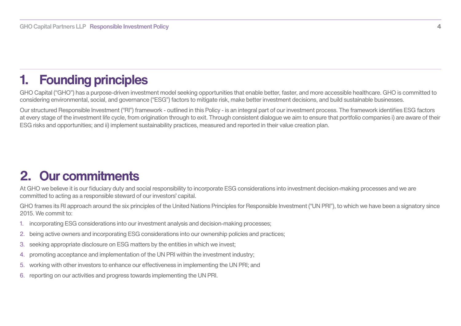# <span id="page-3-0"></span>**1. Founding principles**

GHO Capital ("GHO") has a purpose-driven investment model seeking opportunities that enable better, faster, and more accessible healthcare. GHO is committed to considering environmental, social, and governance ("ESG") factors to mitigate risk, make better investment decisions, and build sustainable businesses.

Our structured Responsible Investment ("RI") framework - outlined in this Policy - is an integral part of our investment process. The framework identifies ESG factors at every stage of the investment life cycle, from origination through to exit. Through consistent dialogue we aim to ensure that portfolio companies i) are aware of their ESG risks and opportunities: and ii) implement sustainability practices, measured and reported in their value creation plan.

# **commitments Our 2.**

At GHO we believe it is our fiduciary duty and social responsibility to incorporate ESG considerations into investment decision-making processes and we are committed to acting as a responsible steward of our investors' capital.

GHO frames its RI approach around the six principles of the United Nations Principles for Responsible Investment ("UN PRI"), to which we have been a signatory since 2015 We commit to:

- 1. incorporating ESG considerations into our investment analysis and decision-making processes;
- 2. being active owners and incorporating ESG considerations into our ownership policies and practices:
- 3. seeking appropriate disclosure on ESG matters by the entities in which we invest;
- 4. promoting acceptance and implementation of the UN PRI within the investment industry;
- 5. working with other investors to enhance our effectiveness in implementing the UN PRI; and
- 6. reporting on our activities and progress towards implementing the UN PRI.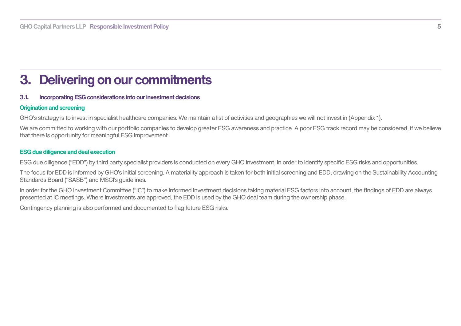# <span id="page-4-0"></span>**2. Delivering on our commitments**

## **3.1.** Incorporating ESG considerations into our investment decisions

## **Origination and screening**

GHO's strategy is to invest in specialist healthcare companies. We maintain a list of activities and geographies we will not invest in (Appendix 1).

We are committed to working with our portfolio companies to develop greater ESG awareness and practice. A poor ESG track record may be considered, if we believe that there is opportunity for meaningful ESG improvement.

#### **ESG** due diligence and deal execution

ESG due diligence ("EDD") by third party specialist providers is conducted on every GHO investment, in order to identify specific ESG risks and opportunities.

The focus for EDD is informed by GHO's initial screening. A materiality approach is taken for both initial screening and EDD, drawing on the Sustainability Accounting Standards Board ("SASB") and MSCI's quidelines.

In order for the GHO Investment Committee ("IC") to make informed investment decisions taking material ESG factors into account, the findings of EDD are always presented at IC meetings. Where investments are approved, the EDD is used by the GHO deal team during the ownership phase.

Contingency planning is also performed and documented to flag future ESG risks.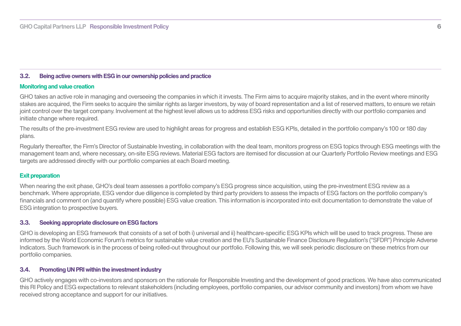### **3.2.** Being active owners with ESG in our ownership policies and practice

#### **Monitoring and value creation**

GHO takes an active role in managing and overseeing the companies in which it invests. The Firm aims to acquire majority stakes, and in the event where minority stakes are acquired, the Firm seeks to acquire the similar rights as larger investors, by way of board representation and a list of reserved matters, to ensure we retain joint control over the target company. Involvement at the highest level allows us to address ESG risks and opportunities directly with our portfolio companies and initiate change where required.

The results of the pre-investment ESG review are used to highlight areas for progress and establish ESG KPIs, detailed in the portfolio company's 100 or 180 day plans.

Regularly thereafter, the Firm's Director of Sustainable Investing, in collaboration with the deal team, monitors progress on ESG topics through ESG meetings with the management team and, where necessary, on-site ESG reviews. Material ESG factors are itemised for discussion at our Quarterly Portfolio Review meetings and ESG targets are addressed directly with our portfolio companies at each Board meeting.

#### **Exit preparation**

When nearing the exit phase, GHO's deal team assesses a portfolio company's ESG progress since acquisition, using the pre-investment ESG review as a benchmark. Where appropriate, ESG vendor due diligence is completed by third party providers to assess the impacts of ESG factors on the portfolio company's financials and comment on (and quantify where possible) ESG value creation. This information is incorporated into exit documentation to demonstrate the value of ESG integration to prospective buvers.

#### **factors 3.3.** Seeking appropriate disclosure on ESG factors

GHO is developing an ESG framework that consists of a set of both i) universal and ii) healthcare-specific ESG KPIs which will be used to track progress. These are informed by the World Economic Forum's metrics for sustainable value creation and the EU's Sustainable Finance Disclosure Regulation's ("SFDR") Principle Adverse Indicators. Such framework is in the process of being rolled-out throughout our portfolio. Following this, we will seek periodic disclosure on these metrics from our portfolio companies.

#### **3.4.** Promoting UN PRI within the investment industry

GHO actively engages with co-investors and sponsors on the rationale for Responsible Investing and the development of good practices. We have also communicated this RI Policy and ESG expectations to relevant stakeholders (including employees, portfolio companies, our advisor community and investors) from whom we have received strong acceptance and support for our initiatives.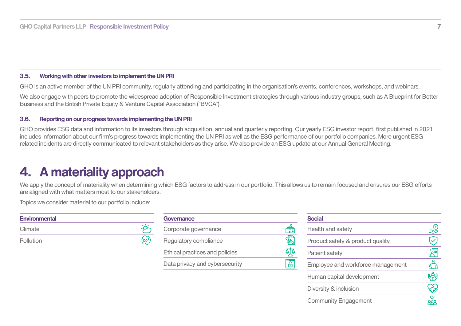#### <span id="page-6-0"></span>**9.5.** Working with other investors to implement the UN PRI

GHO is an active member of the UN PRI community, regularly attending and participating in the organisation's events, conferences, workshops, and webinars.

We also engage with peers to promote the widespread adoption of Responsible Investment strategies through various industry groups, such as A Blueprint for Better Business and the British Private Equity & Venture Capital Association ("BVCA").

#### **9.6.** Reporting on our progress towards implementing the UN PRI

GHO provides ESG data and information to its investors through acquisition, annual and quarterly reporting. Our yearly ESG investor report, first published in 2021, related incidents are directly communicated to relevant stakeholders as they arise. We also provide an ESG update at our Annual General Meeting. includes information about our firm's progress towards implementing the UN PRI as well as the ESG performance of our portfolio companies. More urgent ESG-

## **4. A materiality approach**

We apply the concept of materiality when determining which ESG factors to address in our portfolio. This allows us to remain focused and ensures our ESG efforts are aligned with what matters most to our stakeholders.

Topics we consider material to our portfolio include:

| <b>Environmental</b> |  |
|----------------------|--|
| Climate              |  |
| Pollution            |  |

| Governance                     |              |
|--------------------------------|--------------|
| Corporate governance           | <del>⊫</del> |
| Regulatory compliance          |              |
| Ethical practices and policies |              |
| Data privacy and cybersecurity |              |

| <b>Social</b>                     |  |
|-----------------------------------|--|
| Health and safety                 |  |
| Product safety & product quality  |  |
| Patient safety                    |  |
| Employee and workforce management |  |
| Human capital development         |  |
| Diversity & inclusion             |  |
| <b>Community Engagement</b>       |  |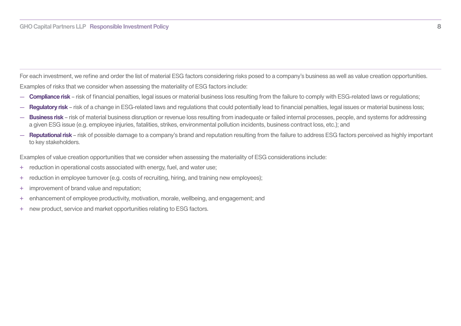<span id="page-7-0"></span>For each investment, we refine and order the list of material ESG factors considering risks posed to a company's business as well as value creation opportunities. Examples of risks that we consider when assessing the materiality of ESG factors include:

- <sup>-</sup> Compliance risk risk of financial penalties, legal issues or material business loss resulting from the failure to comply with ESG-related laws or regulations;
- $\blacksquare$  Requiatory risk risk of a change in ESG-related laws and requiations that could potentially lead to financial penalties, legal issues or material business loss;
- Business risk risk of material business disruption or revenue loss resulting from inadequate or failed internal processes, people, and systems for addressing a given ESG issue (e.g. employee injuries, fatalities, strikes, environmental pollution incidents, business contract loss, etc.); and
- Reputational risk risk of possible damage to a company's brand and reputation resulting from the failure to address ESG factors perceived as highly important to key stakeholders.

Examples of value creation opportunities that we consider when assessing the materiality of ESG considerations include:

- + reduction in operational costs associated with energy, fuel, and water use;
- + reduction in employee turnover (e.g. costs of recruiting, hiring, and training new employees);
- + improvement of brand value and reputation;
- + enhancement of employee productivity, motivation, morale, wellbeing, and engagement; and
- + new product, service and market opportunities relating to ESG factors.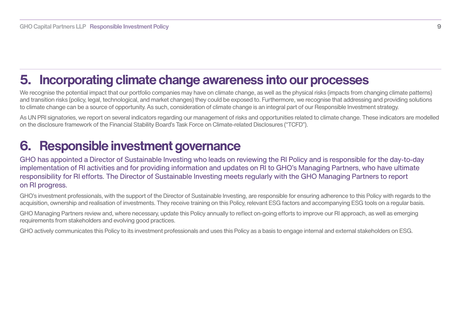## <span id="page-8-0"></span>**5. Incorporating climate change awareness into our processes**

We recognise the potential impact that our portfolio companies may have on climate change, as well as the physical risks (impacts from changing climate patterns) and transition risks (policy, legal, technological, and market changes) they could be exposed to. Furthermore, we recognise that addressing and providing solutions to climate change can be a source of opportunity. As such, consideration of climate change is an integral part of our Responsible Investment strategy.

As UN PRI signatories, we report on several indicators regarding our management of risks and opportunities related to climate change. These indicators are modelled . ("TCFD"). on the disclosure framework of the Financial Stability Board's Task Force on Climate-related Disclosures ("TCFD").

## **6. Responsible investment governance**

GHO has appointed a Director of Sustainable Investing who leads on reviewing the RI Policy and is responsible for the day-to-day implementation of RI activities and for providing information and updates on RI to GHO's Managing Partners, who have ultimate responsibility for RI efforts. The Director of Sustainable Investing meets regularly with the GHO Managing Partners to report on RI progress.

GHO's investment professionals, with the support of the Director of Sustainable Investing, are responsible for ensuring adherence to this Policy with regards to the acquisition, ownership and realisation of investments. They receive training on this Policy, relevant ESG factors and accompanying ESG tools on a regular basis.

GHO Managing Partners review and, where necessary, update this Policy annually to reflect on-going efforts to improve our RI approach, as well as emerging requirements from stakeholders and evolving good practices.

GHO actively communicates this Policy to its investment professionals and uses this Policy as a basis to engage internal and external stakeholders on ESG.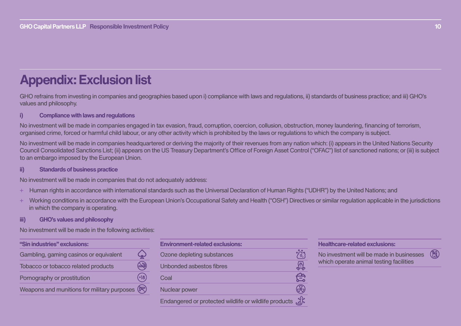# **Appendix: Exclusion list**

GHO refrains from investing in companies and geographies based upon i) compliance with laws and regulations, ii) standards of business practice; and iii) GHO's values and philosophy.

## *i Compliance with laws and regulations*

No investment will be made in companies engaged in tax evasion, fraud, corruption, coercion, collusion, obstruction, money laundering, financing of terrorism, organised crime, forced or harmful child labour, or any other activity which is prohibited by the laws or regulations to which the company is subject.

No investment will be made in companies headquartered or deriving the majority of their revenues from any nation which: (i) appears in the United Nations Security Council Consolidated Sanctions List; (ii) appears on the US Treasury Department's Office of Foreign Asset Control ("OFAC") list of sanctioned nations; or (iii) is subject to an embargo imposed by the European Union.

## **practice business of Standards) ii**

No investment will be made in companies that do not adequately address:

- Human rights in accordance with international standards such as the Universal Declaration of Human Rights ("UDHR") by the United Nations; and
- Working conditions in accordance with the European Union's Occupational Safety and Health ("OSH") Directives or similar regulation applicable in the jurisdictions in which the company is operating.

#### **iii)** GHO's values and philosophy

No investment will be made in the following activities:

| "Sin industries" exclusions:                                          |         |
|-----------------------------------------------------------------------|---------|
| Gambling, gaming casinos or equivalent                                |         |
| Tobacco or tobacco related products                                   |         |
| Pornography or prostitution                                           | $[+18]$ |
| Weapons and munitions for military purposes $(\overline{\mathbb{R}})$ |         |

| <b>Environment-related exclusions:</b>                |   |
|-------------------------------------------------------|---|
| Ozone depleting substances                            |   |
| Unbonded asbestos fibres                              | 俭 |
| Coal                                                  |   |
| Nuclear power                                         |   |
| Endangered or protected wildlife or wildlife products |   |

**Healthcare-related exclusions:** 

No investment will be made in businesses which operate animal testing facilities